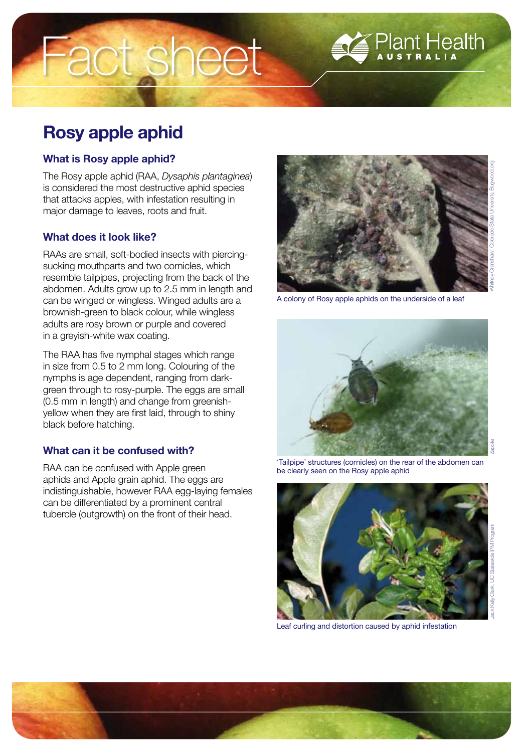# Rosy apple aphid

# What is Rosy apple aphid?

The Rosy apple aphid (RAA, *Dysaphis plantaginea*) is considered the most destructive aphid species that attacks apples, with infestation resulting in major damage to leaves, roots and fruit.

Fact sheet

## What does it look like?

RAAs are small, soft-bodied insects with piercingsucking mouthparts and two cornicles, which resemble tailpipes, projecting from the back of the abdomen. Adults grow up to 2.5 mm in length and can be winged or wingless. Winged adults are a brownish-green to black colour, while wingless adults are rosy brown or purple and covered in a greyish-white wax coating.

The RAA has five nymphal stages which range in size from 0.5 to 2 mm long. Colouring of the nymphs is age dependent, ranging from darkgreen through to rosy-purple. The eggs are small (0.5 mm in length) and change from greenishyellow when they are first laid, through to shiny black before hatching.

# What can it be confused with?

RAA can be confused with Apple green aphids and Apple grain aphid. The eggs are indistinguishable, however RAA egg-laying females can be differentiated by a prominent central tubercle (outgrowth) on the front of their head.



A colony of Rosy apple aphids on the underside of a leaf



'Tailpipe' structures (cornicles) on the rear of the abdomen can be clearly seen on the Rosy apple aphid



Leaf curling and distortion caused by aphid infestation